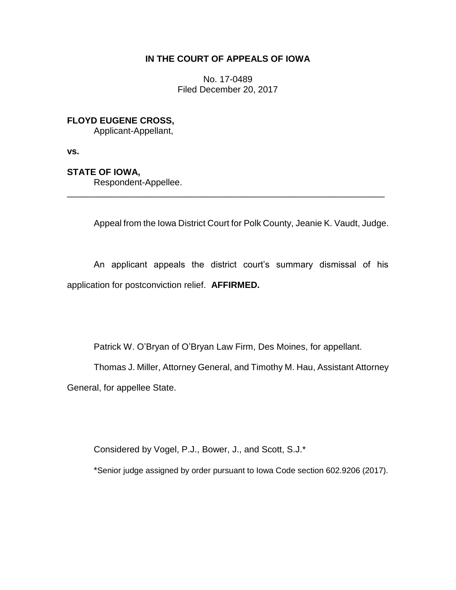## **IN THE COURT OF APPEALS OF IOWA**

No. 17-0489 Filed December 20, 2017

# **FLOYD EUGENE CROSS,**

Applicant-Appellant,

**vs.**

## **STATE OF IOWA,**

Respondent-Appellee.

Appeal from the Iowa District Court for Polk County, Jeanie K. Vaudt, Judge.

An applicant appeals the district court's summary dismissal of his application for postconviction relief. **AFFIRMED.**

\_\_\_\_\_\_\_\_\_\_\_\_\_\_\_\_\_\_\_\_\_\_\_\_\_\_\_\_\_\_\_\_\_\_\_\_\_\_\_\_\_\_\_\_\_\_\_\_\_\_\_\_\_\_\_\_\_\_\_\_\_\_\_\_

Patrick W. O'Bryan of O'Bryan Law Firm, Des Moines, for appellant.

Thomas J. Miller, Attorney General, and Timothy M. Hau, Assistant Attorney General, for appellee State.

Considered by Vogel, P.J., Bower, J., and Scott, S.J.\*

\*Senior judge assigned by order pursuant to Iowa Code section 602.9206 (2017).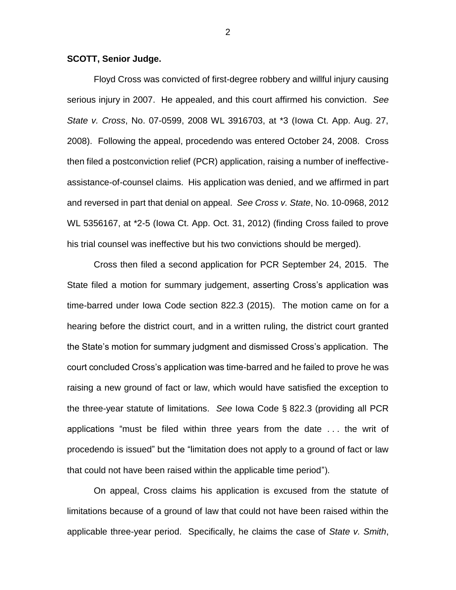### **SCOTT, Senior Judge.**

Floyd Cross was convicted of first-degree robbery and willful injury causing serious injury in 2007. He appealed, and this court affirmed his conviction. *See State v. Cross*, No. 07-0599, 2008 WL 3916703, at \*3 (Iowa Ct. App. Aug. 27, 2008). Following the appeal, procedendo was entered October 24, 2008. Cross then filed a postconviction relief (PCR) application, raising a number of ineffectiveassistance-of-counsel claims. His application was denied, and we affirmed in part and reversed in part that denial on appeal. *See Cross v. State*, No. 10-0968, 2012 WL 5356167, at \*2-5 (Iowa Ct. App. Oct. 31, 2012) (finding Cross failed to prove his trial counsel was ineffective but his two convictions should be merged).

Cross then filed a second application for PCR September 24, 2015. The State filed a motion for summary judgement, asserting Cross's application was time-barred under Iowa Code section 822.3 (2015). The motion came on for a hearing before the district court, and in a written ruling, the district court granted the State's motion for summary judgment and dismissed Cross's application. The court concluded Cross's application was time-barred and he failed to prove he was raising a new ground of fact or law, which would have satisfied the exception to the three-year statute of limitations. *See* Iowa Code § 822.3 (providing all PCR applications "must be filed within three years from the date . . . the writ of procedendo is issued" but the "limitation does not apply to a ground of fact or law that could not have been raised within the applicable time period").

On appeal, Cross claims his application is excused from the statute of limitations because of a ground of law that could not have been raised within the applicable three-year period. Specifically, he claims the case of *State v. Smith*,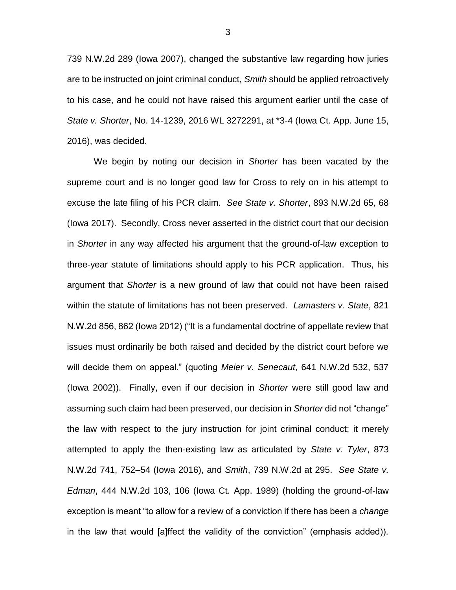739 N.W.2d 289 (Iowa 2007), changed the substantive law regarding how juries are to be instructed on joint criminal conduct, *Smith* should be applied retroactively to his case, and he could not have raised this argument earlier until the case of *State v. Shorter*, No. 14-1239, 2016 WL 3272291, at \*3-4 (Iowa Ct. App. June 15, 2016), was decided.

We begin by noting our decision in *Shorter* has been vacated by the supreme court and is no longer good law for Cross to rely on in his attempt to excuse the late filing of his PCR claim. *See State v. Shorter*, 893 N.W.2d 65, 68 (Iowa 2017). Secondly, Cross never asserted in the district court that our decision in *Shorter* in any way affected his argument that the ground-of-law exception to three-year statute of limitations should apply to his PCR application. Thus, his argument that *Shorter* is a new ground of law that could not have been raised within the statute of limitations has not been preserved. *Lamasters v. State*, 821 N.W.2d 856, 862 (Iowa 2012) ("It is a fundamental doctrine of appellate review that issues must ordinarily be both raised and decided by the district court before we will decide them on appeal." (quoting *Meier v. Senecaut*, 641 N.W.2d 532, 537 (Iowa 2002)). Finally, even if our decision in *Shorter* were still good law and assuming such claim had been preserved, our decision in *Shorter* did not "change" the law with respect to the jury instruction for joint criminal conduct; it merely attempted to apply the then-existing law as articulated by *State v. Tyler*, 873 N.W.2d 741, 752–54 (Iowa 2016), and *Smith*, 739 N.W.2d at 295. *See State v. Edman*, 444 N.W.2d 103, 106 (Iowa Ct. App. 1989) (holding the ground-of-law exception is meant "to allow for a review of a conviction if there has been a *change* in the law that would [a]ffect the validity of the conviction" (emphasis added)).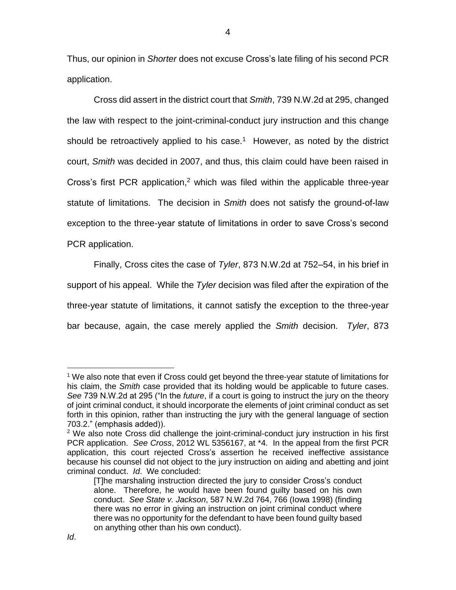Thus, our opinion in *Shorter* does not excuse Cross's late filing of his second PCR application.

Cross did assert in the district court that *Smith*, 739 N.W.2d at 295, changed the law with respect to the joint-criminal-conduct jury instruction and this change should be retroactively applied to his case.<sup>1</sup> However, as noted by the district court, *Smith* was decided in 2007, and thus, this claim could have been raised in Cross's first PCR application, <sup>2</sup> which was filed within the applicable three-year statute of limitations. The decision in *Smith* does not satisfy the ground-of-law exception to the three-year statute of limitations in order to save Cross's second PCR application.

Finally, Cross cites the case of *Tyler*, 873 N.W.2d at 752–54, in his brief in support of his appeal. While the *Tyler* decision was filed after the expiration of the three-year statute of limitations, it cannot satisfy the exception to the three-year bar because, again, the case merely applied the *Smith* decision. *Tyler*, 873

 $\overline{a}$ 

<sup>&</sup>lt;sup>1</sup> We also note that even if Cross could get beyond the three-year statute of limitations for his claim, the *Smith* case provided that its holding would be applicable to future cases. *See* 739 N.W.2d at 295 ("In the *future*, if a court is going to instruct the jury on the theory of joint criminal conduct, it should incorporate the elements of joint criminal conduct as set forth in this opinion, rather than instructing the jury with the general language of section 703.2." (emphasis added)).

<sup>&</sup>lt;sup>2</sup> We also note Cross did challenge the joint-criminal-conduct jury instruction in his first PCR application. *See Cross*, 2012 WL 5356167, at \*4. In the appeal from the first PCR application, this court rejected Cross's assertion he received ineffective assistance because his counsel did not object to the jury instruction on aiding and abetting and joint criminal conduct. *Id*. We concluded:

<sup>[</sup>T]he marshaling instruction directed the jury to consider Cross's conduct alone. Therefore, he would have been found guilty based on his own conduct. *See State v. Jackson*, 587 N.W.2d 764, 766 (Iowa 1998) (finding there was no error in giving an instruction on joint criminal conduct where there was no opportunity for the defendant to have been found guilty based on anything other than his own conduct).